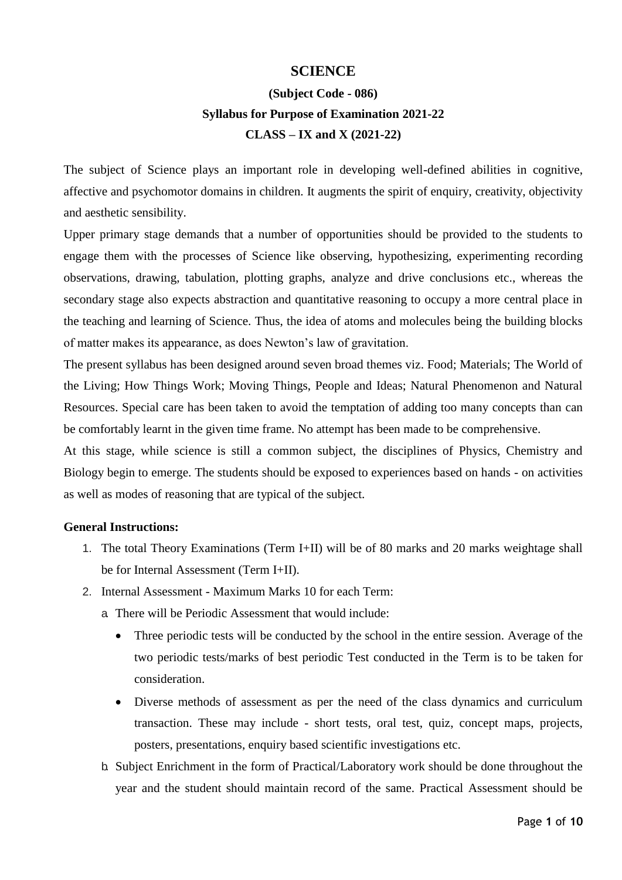## **SCIENCE**

# **(Subject Code - 086) Syllabus for Purpose of Examination 2021-22 CLASS – IX and X (2021-22)**

The subject of Science plays an important role in developing well-defined abilities in cognitive, affective and psychomotor domains in children. It augments the spirit of enquiry, creativity, objectivity and aesthetic sensibility.

Upper primary stage demands that a number of opportunities should be provided to the students to engage them with the processes of Science like observing, hypothesizing, experimenting recording observations, drawing, tabulation, plotting graphs, analyze and drive conclusions etc., whereas the secondary stage also expects abstraction and quantitative reasoning to occupy a more central place in the teaching and learning of Science. Thus, the idea of atoms and molecules being the building blocks of matter makes its appearance, as does Newton's law of gravitation.

The present syllabus has been designed around seven broad themes viz. Food; Materials; The World of the Living; How Things Work; Moving Things, People and Ideas; Natural Phenomenon and Natural Resources. Special care has been taken to avoid the temptation of adding too many concepts than can be comfortably learnt in the given time frame. No attempt has been made to be comprehensive.

At this stage, while science is still a common subject, the disciplines of Physics, Chemistry and Biology begin to emerge. The students should be exposed to experiences based on hands - on activities as well as modes of reasoning that are typical of the subject.

#### **General Instructions:**

- 1. The total Theory Examinations (Term I+II) will be of 80 marks and 20 marks weightage shall be for Internal Assessment (Term I+II).
- 2. Internal Assessment Maximum Marks 10 for each Term:
	- a. There will be Periodic Assessment that would include:
		- Three periodic tests will be conducted by the school in the entire session. Average of the two periodic tests/marks of best periodic Test conducted in the Term is to be taken for consideration.
		- Diverse methods of assessment as per the need of the class dynamics and curriculum transaction. These may include - short tests, oral test, quiz, concept maps, projects, posters, presentations, enquiry based scientific investigations etc.
	- b. Subject Enrichment in the form of Practical/Laboratory work should be done throughout the year and the student should maintain record of the same. Practical Assessment should be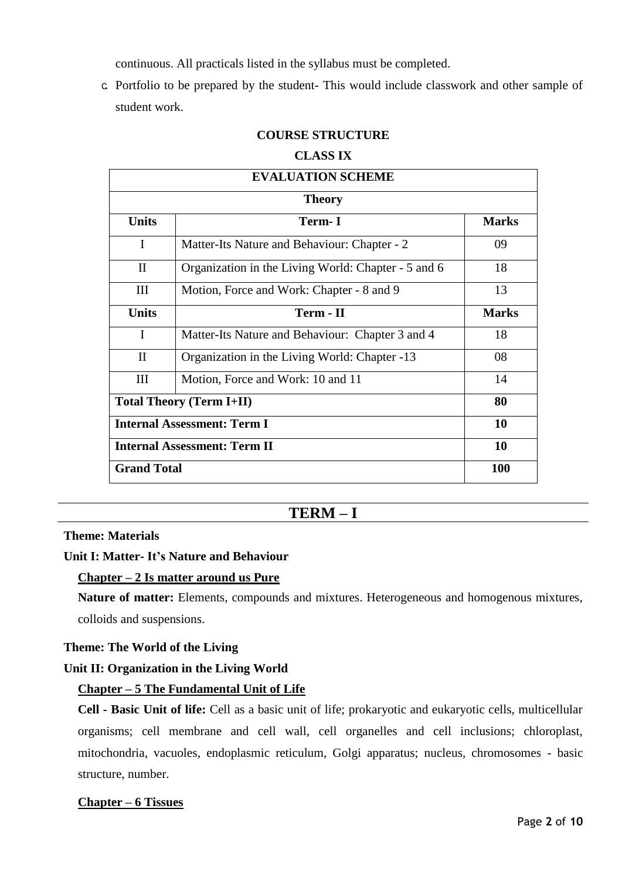continuous. All practicals listed in the syllabus must be completed.

c. Portfolio to be prepared by the student- This would include classwork and other sample of student work.

# **COURSE STRUCTURE**

#### **CLASS IX**

| <b>EVALUATION SCHEME</b>            |                                                     |              |  |  |
|-------------------------------------|-----------------------------------------------------|--------------|--|--|
| <b>Theory</b>                       |                                                     |              |  |  |
| <b>Units</b>                        | Term- I                                             | <b>Marks</b> |  |  |
| $\mathbf{I}$                        | Matter-Its Nature and Behaviour: Chapter - 2        | 09           |  |  |
| $\mathbf{I}$                        | Organization in the Living World: Chapter - 5 and 6 | 18           |  |  |
| III                                 | Motion, Force and Work: Chapter - 8 and 9           | 13           |  |  |
| <b>Units</b>                        | Term - II                                           | <b>Marks</b> |  |  |
| I                                   | Matter-Its Nature and Behaviour: Chapter 3 and 4    | 18           |  |  |
| $\mathbf{I}$                        | Organization in the Living World: Chapter -13       | 08           |  |  |
| III                                 | Motion, Force and Work: 10 and 11                   | 14           |  |  |
| <b>Total Theory (Term I+II)</b>     |                                                     | 80           |  |  |
| <b>Internal Assessment: Term I</b>  |                                                     | 10           |  |  |
| <b>Internal Assessment: Term II</b> |                                                     | 10           |  |  |
| <b>Grand Total</b>                  |                                                     | 100          |  |  |

# **TERM – I**

#### **Theme: Materials**

#### **Unit I: Matter- It's Nature and Behaviour**

#### **Chapter – 2 Is matter around us Pure**

**Nature of matter:** Elements, compounds and mixtures. Heterogeneous and homogenous mixtures, colloids and suspensions.

#### **Theme: The World of the Living**

#### **Unit II: Organization in the Living World**

#### **Chapter – 5 The Fundamental Unit of Life**

**Cell - Basic Unit of life:** Cell as a basic unit of life; prokaryotic and eukaryotic cells, multicellular organisms; cell membrane and cell wall, cell organelles and cell inclusions; chloroplast, mitochondria, vacuoles, endoplasmic reticulum, Golgi apparatus; nucleus, chromosomes - basic structure, number.

#### **Chapter – 6 Tissues**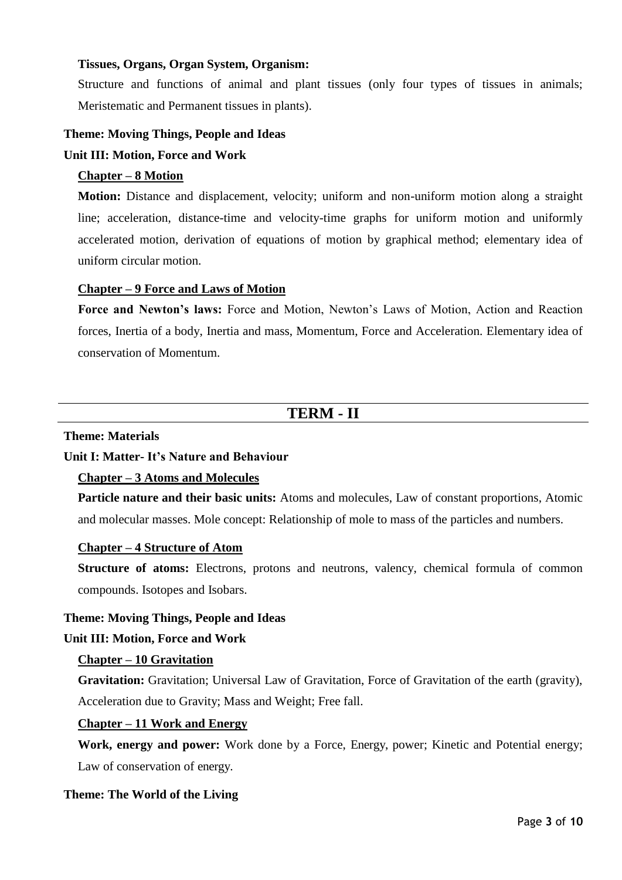## **Tissues, Organs, Organ System, Organism:**

Structure and functions of animal and plant tissues (only four types of tissues in animals; Meristematic and Permanent tissues in plants).

#### **Theme: Moving Things, People and Ideas**

#### **Unit III: Motion, Force and Work**

#### **Chapter – 8 Motion**

**Motion:** Distance and displacement, velocity; uniform and non-uniform motion along a straight line; acceleration, distance-time and velocity-time graphs for uniform motion and uniformly accelerated motion, derivation of equations of motion by graphical method; elementary idea of uniform circular motion.

#### **Chapter – 9 Force and Laws of Motion**

**Force and Newton's laws:** Force and Motion, Newton's Laws of Motion, Action and Reaction forces, Inertia of a body, Inertia and mass, Momentum, Force and Acceleration. Elementary idea of conservation of Momentum.

# **TERM - II**

#### **Theme: Materials**

## **Unit I: Matter- It's Nature and Behaviour**

#### **Chapter – 3 Atoms and Molecules**

**Particle nature and their basic units:** Atoms and molecules, Law of constant proportions, Atomic and molecular masses. Mole concept: Relationship of mole to mass of the particles and numbers.

#### **Chapter – 4 Structure of Atom**

**Structure of atoms:** Electrons, protons and neutrons, valency, chemical formula of common compounds. Isotopes and Isobars.

#### **Theme: Moving Things, People and Ideas**

#### **Unit III: Motion, Force and Work**

#### **Chapter – 10 Gravitation**

**Gravitation:** Gravitation; Universal Law of Gravitation, Force of Gravitation of the earth (gravity), Acceleration due to Gravity; Mass and Weight; Free fall.

#### **Chapter – 11 Work and Energy**

**Work, energy and power:** Work done by a Force, Energy, power; Kinetic and Potential energy; Law of conservation of energy.

#### **Theme: The World of the Living**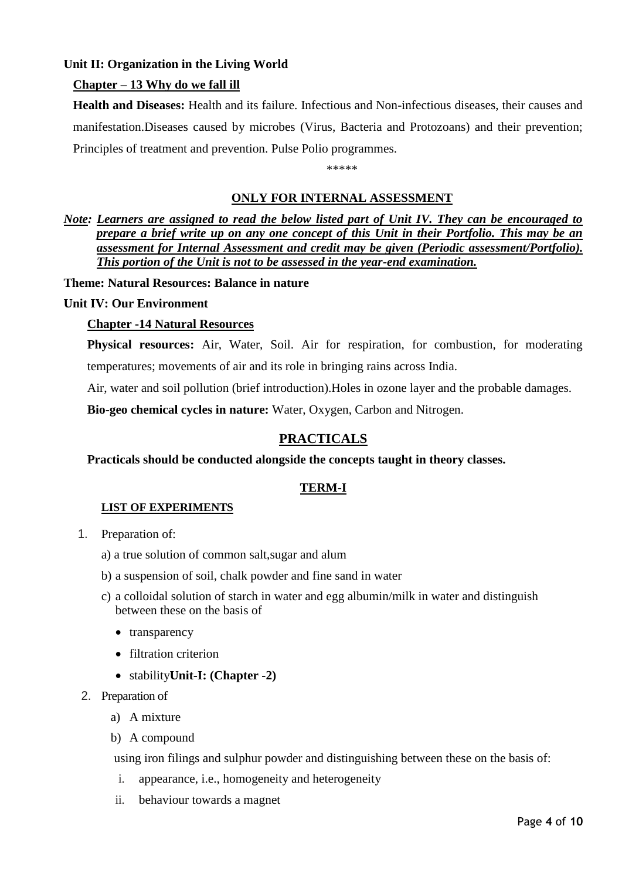# **Unit II: Organization in the Living World**

## **Chapter – 13 Why do we fall ill**

**Health and Diseases:** Health and its failure. Infectious and Non-infectious diseases, their causes and manifestation.Diseases caused by microbes (Virus, Bacteria and Protozoans) and their prevention; Principles of treatment and prevention. Pulse Polio programmes.

\*\*\*\*\*

#### **ONLY FOR INTERNAL ASSESSMENT**

*Note: Learners are assigned to read the below listed part of Unit IV. They can be encouraged to prepare a brief write up on any one concept of this Unit in their Portfolio. This may be an assessment for Internal Assessment and credit may be given (Periodic assessment/Portfolio). This portion of the Unit is not to be assessed in the year-end examination.* 

**Theme: Natural Resources: Balance in nature** 

#### **Unit IV: Our Environment**

#### **Chapter -14 Natural Resources**

**Physical resources:** Air, Water, Soil. Air for respiration, for combustion, for moderating temperatures; movements of air and its role in bringing rains across India.

Air, water and soil pollution (brief introduction).Holes in ozone layer and the probable damages.

**Bio-geo chemical cycles in nature:** Water, Oxygen, Carbon and Nitrogen.

# **PRACTICALS**

#### **Practicals should be conducted alongside the concepts taught in theory classes.**

#### **TERM-I**

#### **LIST OF EXPERIMENTS**

- 1. Preparation of:
	- a) a true solution of common salt,sugar and alum
	- b) a suspension of soil, chalk powder and fine sand in water
	- c) a colloidal solution of starch in water and egg albumin/milk in water and distinguish between these on the basis of
		- transparency
		- filtration criterion
		- stability**Unit-I: (Chapter -2)**
- 2. Preparation of
	- a) A mixture
	- b) A compound

using iron filings and sulphur powder and distinguishing between these on the basis of:

- i. appearance, i.e., homogeneity and heterogeneity
- ii. behaviour towards a magnet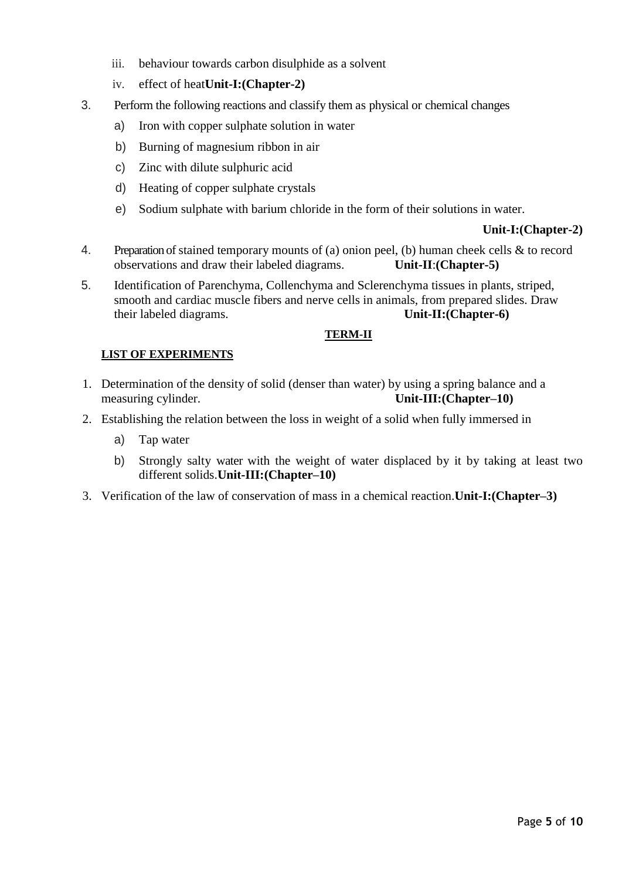- iii. behaviour towards carbon disulphide as a solvent
- iv. effect of heat**Unit-I:(Chapter-2)**
- 3. Perform the following reactions and classify them as physical or chemical changes
	- a) Iron with copper sulphate solution in water
	- b) Burning of magnesium ribbon in air
	- c) Zinc with dilute sulphuric acid
	- d) Heating of copper sulphate crystals
	- e) Sodium sulphate with barium chloride in the form of their solutions in water.

#### **Unit-I:(Chapter-2)**

- 4. Preparation of stained temporary mounts of (a) onion peel, (b) human cheek cells & to record observations and draw their labeled diagrams. **Unit-II**:**(Chapter-5)**
- 5. Identification of Parenchyma, Collenchyma and Sclerenchyma tissues in plants, striped, smooth and cardiac muscle fibers and nerve cells in animals, from prepared slides. Draw their labeled diagrams. **Unit-II:(Chapter-6)**

#### **TERM-II**

#### **LIST OF EXPERIMENTS**

- 1. Determination of the density of solid (denser than water) by using a spring balance and a measuring cylinder. **Unit-III:(Chapter–10)**
- 2. Establishing the relation between the loss in weight of a solid when fully immersed in
	- a) Tap water
	- b) Strongly salty water with the weight of water displaced by it by taking at least two different solids.**Unit-III:(Chapter–10)**
- 3. Verification of the law of conservation of mass in a chemical reaction.**Unit-I:(Chapter–3)**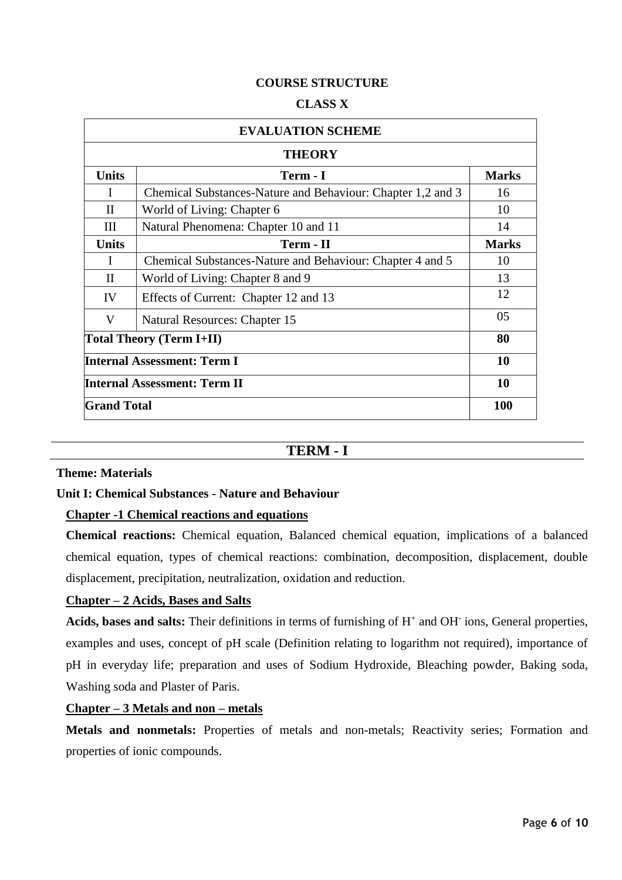## **COURSE STRUCTURE**

#### **CLASS X**

| <b>EVALUATION SCHEME</b>            |                                                             |              |  |
|-------------------------------------|-------------------------------------------------------------|--------------|--|
| <b>THEORY</b>                       |                                                             |              |  |
| <b>Units</b>                        | Term - I                                                    | <b>Marks</b> |  |
| I                                   | Chemical Substances-Nature and Behaviour: Chapter 1,2 and 3 | 16           |  |
| $\mathbf{I}$                        | World of Living: Chapter 6                                  | 10           |  |
| Ш                                   | Natural Phenomena: Chapter 10 and 11                        | 14           |  |
| <b>Units</b>                        | Term - II                                                   | <b>Marks</b> |  |
| I                                   | Chemical Substances-Nature and Behaviour: Chapter 4 and 5   | 10           |  |
| $\mathbf{I}$                        | World of Living: Chapter 8 and 9                            | 13           |  |
| IV                                  | Effects of Current: Chapter 12 and 13                       | 12           |  |
| V                                   | Natural Resources: Chapter 15                               | 05           |  |
| <b>Total Theory (Term I+II)</b>     |                                                             | 80           |  |
| <b>Internal Assessment: Term I</b>  |                                                             | 10           |  |
| <b>Internal Assessment: Term II</b> |                                                             | 10           |  |
| <b>Grand Total</b>                  |                                                             | <b>100</b>   |  |

# **TERM - I**

#### **Theme: Materials**

#### **Unit I: Chemical Substances - Nature and Behaviour**

#### **Chapter -1 Chemical reactions and equations**

**Chemical reactions:** Chemical equation, Balanced chemical equation, implications of a balanced chemical equation, types of chemical reactions: combination, decomposition, displacement, double displacement, precipitation, neutralization, oxidation and reduction.

## **Chapter – 2 Acids, Bases and Salts**

Acids, bases and salts: Their definitions in terms of furnishing of H<sup>+</sup> and OH<sup>-</sup> ions, General properties, examples and uses, concept of pH scale (Definition relating to logarithm not required), importance of pH in everyday life; preparation and uses of Sodium Hydroxide, Bleaching powder, Baking soda, Washing soda and Plaster of Paris.

#### **Chapter – 3 Metals and non – metals**

**Metals and nonmetals:** Properties of metals and non-metals; Reactivity series; Formation and properties of ionic compounds.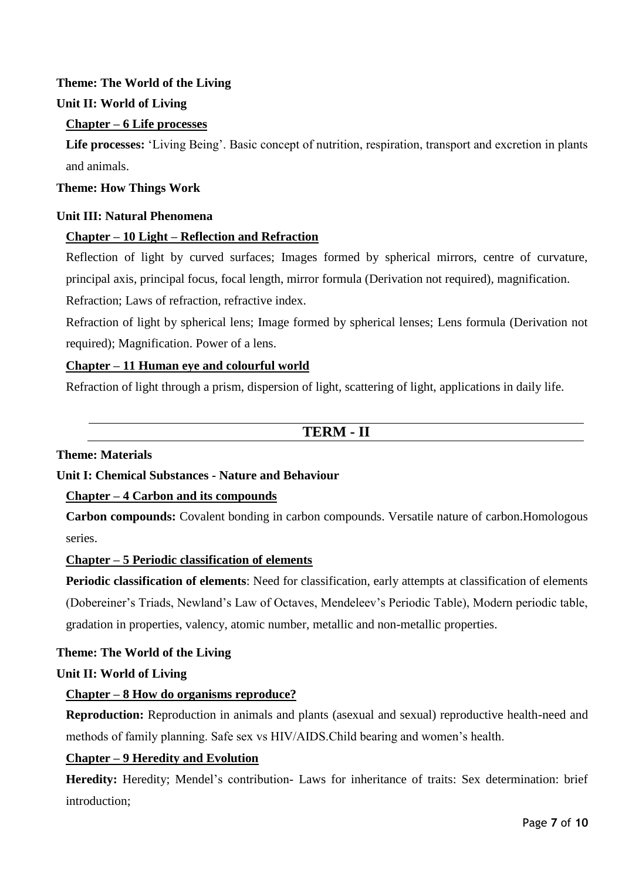# **Theme: The World of the Living**

# **Unit II: World of Living**

## **Chapter – 6 Life processes**

**Life processes:** 'Living Being'. Basic concept of nutrition, respiration, transport and excretion in plants and animals.

## **Theme: How Things Work**

## **Unit III: Natural Phenomena**

## **Chapter – 10 Light – Reflection and Refraction**

Reflection of light by curved surfaces; Images formed by spherical mirrors, centre of curvature, principal axis, principal focus, focal length, mirror formula (Derivation not required), magnification.

Refraction; Laws of refraction, refractive index.

Refraction of light by spherical lens; Image formed by spherical lenses; Lens formula (Derivation not required); Magnification. Power of a lens.

## **Chapter – 11 Human eye and colourful world**

Refraction of light through a prism, dispersion of light, scattering of light, applications in daily life.

# **TERM - II**

## **Theme: Materials**

## **Unit I: Chemical Substances - Nature and Behaviour**

#### **Chapter – 4 Carbon and its compounds**

**Carbon compounds:** Covalent bonding in carbon compounds. Versatile nature of carbon.Homologous series.

#### **Chapter – 5 Periodic classification of elements**

**Periodic classification of elements**: Need for classification, early attempts at classification of elements (Dobereiner's Triads, Newland's Law of Octaves, Mendeleev's Periodic Table), Modern periodic table, gradation in properties, valency, atomic number, metallic and non-metallic properties.

#### **Theme: The World of the Living**

#### **Unit II: World of Living**

#### **Chapter – 8 How do organisms reproduce?**

**Reproduction:** Reproduction in animals and plants (asexual and sexual) reproductive health-need and methods of family planning. Safe sex vs HIV/AIDS.Child bearing and women's health.

#### **Chapter – 9 Heredity and Evolution**

**Heredity:** Heredity; Mendel's contribution- Laws for inheritance of traits: Sex determination: brief introduction;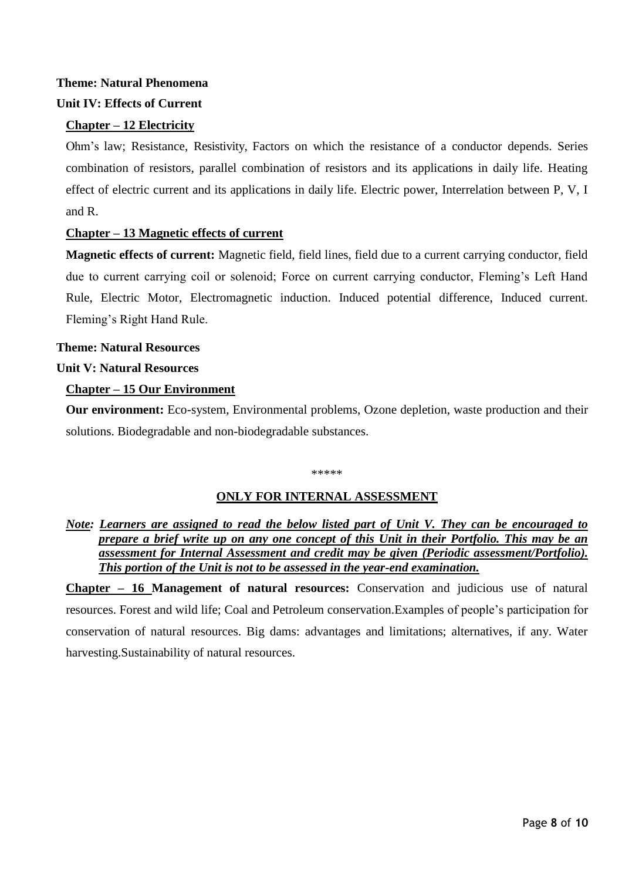# **Theme: Natural Phenomena**

# **Unit IV: Effects of Current**

# **Chapter – 12 Electricity**

Ohm's law; Resistance, Resistivity, Factors on which the resistance of a conductor depends. Series combination of resistors, parallel combination of resistors and its applications in daily life. Heating effect of electric current and its applications in daily life. Electric power, Interrelation between P, V, I and R.

# **Chapter – 13 Magnetic effects of current**

**Magnetic effects of current:** Magnetic field, field lines, field due to a current carrying conductor, field due to current carrying coil or solenoid; Force on current carrying conductor, Fleming's Left Hand Rule, Electric Motor, Electromagnetic induction. Induced potential difference, Induced current. Fleming's Right Hand Rule.

**Theme: Natural Resources Unit V: Natural Resources**

# **Chapter – 15 Our Environment**

**Our environment:** Eco-system, Environmental problems, Ozone depletion, waste production and their solutions. Biodegradable and non-biodegradable substances.

#### \*\*\*\*\*

# **ONLY FOR INTERNAL ASSESSMENT**

# *Note: Learners are assigned to read the below listed part of Unit V. They can be encouraged to prepare a brief write up on any one concept of this Unit in their Portfolio. This may be an assessment for Internal Assessment and credit may be given (Periodic assessment/Portfolio). This portion of the Unit is not to be assessed in the year-end examination.*

**Chapter – 16 Management of natural resources:** Conservation and judicious use of natural resources. Forest and wild life; Coal and Petroleum conservation.Examples of people's participation for conservation of natural resources. Big dams: advantages and limitations; alternatives, if any. Water harvesting.Sustainability of natural resources.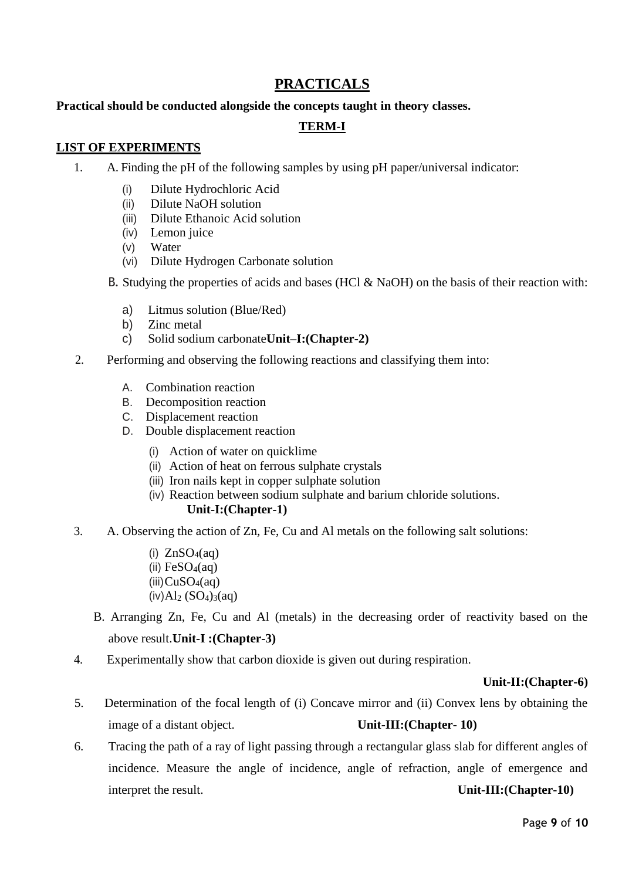# **PRACTICALS**

# **Practical should be conducted alongside the concepts taught in theory classes.**

# **TERM-I**

## **LIST OF EXPERIMENTS**

- 1. A. Finding the pH of the following samples by using pH paper/universal indicator:
	- (i) Dilute Hydrochloric Acid
	- (ii) Dilute NaOH solution
	- (iii) Dilute Ethanoic Acid solution
	- (iv) Lemon juice
	- (v) Water
	- (vi) Dilute Hydrogen Carbonate solution
	- B. Studying the properties of acids and bases (HCl & NaOH) on the basis of their reaction with:
		- a) Litmus solution (Blue/Red)
		- b) Zinc metal
		- c) Solid sodium carbonate**Unit–I:(Chapter-2)**
- 2. Performing and observing the following reactions and classifying them into:
	- A. Combination reaction
	- B. Decomposition reaction
	- C. Displacement reaction
	- D. Double displacement reaction
		- (i) Action of water on quicklime
		- (ii) Action of heat on ferrous sulphate crystals
		- (iii) Iron nails kept in copper sulphate solution
		- (iv) Reaction between sodium sulphate and barium chloride solutions.

# **Unit-I:(Chapter-1)**

- 3. A. Observing the action of Zn, Fe, Cu and Al metals on the following salt solutions:
	- (i)  $ZnSO_4(aq)$ (ii)  $FeSO<sub>4</sub>(aq)$  $(iii)CuSO<sub>4</sub>(aq)$  $(iv)$ Al<sub>2</sub> (SO<sub>4</sub>)<sub>3</sub>(aq)
	- B. Arranging Zn, Fe, Cu and Al (metals) in the decreasing order of reactivity based on the above result.**Unit-I :(Chapter-3)**
- 4. Experimentally show that carbon dioxide is given out during respiration.

#### **Unit-II:(Chapter-6)**

- 5. Determination of the focal length of (i) Concave mirror and (ii) Convex lens by obtaining the image of a distant object. **Unit-III:(Chapter- 10)**
- 6. Tracing the path of a ray of light passing through a rectangular glass slab for different angles of incidence. Measure the angle of incidence, angle of refraction, angle of emergence and interpret the result. **Unit-III:(Chapter-10)**